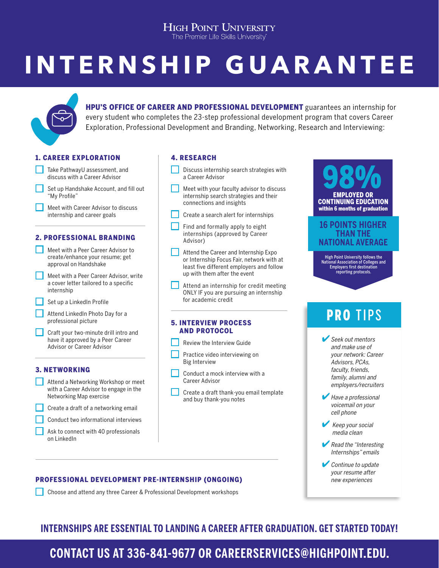## **HIGH POINT UNIVERSITY**

The Premier Life Skills University

# **INTERNSHIP GUARANTEE**



HPU'S OFFICE OF CAREER AND PROFESSIONAL DEVELOPMENT guarantees an internship for every student who completes the 23-step professional development program that covers Career Exploration, Professional Development and Branding, Networking, Research and Interviewing:

#### 1. CAREER EXPLORATION



#### 2. PROFESSIONAL BRANDING



#### 3. NETWORKING

- **Attend a Networking Workshop or meet** with a Career Advisor to engage in the Networking Map exercise
	- Create a draft of a networking email
	- Conduct two informational interviews
	- Ask to connect with 40 professionals on LinkedIn

#### 4. RESEARCH

- Discuss internship search strategies with a Career Advisor
- Meet with your faculty advisor to discuss internship search strategies and their connections and insights
- Create a search alert for internships
- Find and formally apply to eight internships (approved by Career Advisor)
- Attend the Career and Internship Expo or Internship Focus Fair, network with at least five different employers and follow up with them after the event
- Attend an internship for credit meeting ONLY IF you are pursuing an internship for academic credit

#### 5. INTERVIEW PROCESS AND PROTOCOL

- Review the Interview Guide
- Practice video interviewing on Big Interview
- Conduct a mock interview with a Career Advisor
- Create a draft thank-you email template and buy thank-you notes

## Seek out mentors and make use of your network: Career Advisors, PCAs, faculty, friends, family, alumni and employers/recruiters  $\blacktriangleright$  Have a professional voicemail on your cell phone PRO TIPS 98% EMPLOYED OR CONTINUING EDUCATION within 6 months of graduation **16 POINTS HIGHER THAN THE NATIONAL AVERAGE** High Point University follows the National Association of Colleges and Employers first destination reporting protocols.

- Keep your social media clean
- Read the "Interesting" Internships" emails
- Continue to update your resume after new experiences

#### PROFESSIONAL DEVELOPMENT PRE-INTERNSHIP (ONGOING)

Choose and attend any three Career & Professional Development workshops

### **INTERNSHIPS ARE ESSENTIAL TO LANDING A CAREER AFTER GRADUATION. GET STARTED TODAY!**

## **CONTACT US AT 336-841-9677 OR CAREERSERVICES@HIGHPOINT.EDU.**